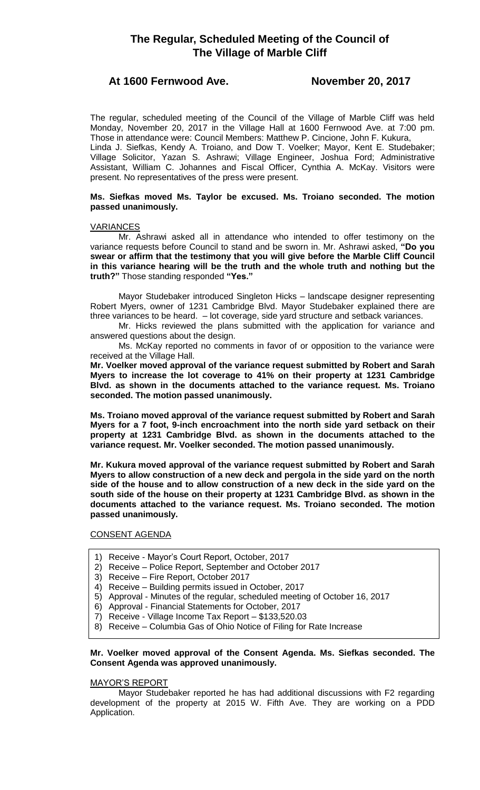# **The Regular, Scheduled Meeting of the Council of The Village of Marble Cliff**

# **At 1600 Fernwood Ave. November 20, 2017**

The regular, scheduled meeting of the Council of the Village of Marble Cliff was held Monday, November 20, 2017 in the Village Hall at 1600 Fernwood Ave. at 7:00 pm. Those in attendance were: Council Members: Matthew P. Cincione, John F. Kukura, Linda J. Siefkas, Kendy A. Troiano, and Dow T. Voelker; Mayor, Kent E. Studebaker; Village Solicitor, Yazan S. Ashrawi; Village Engineer, Joshua Ford; Administrative Assistant, William C. Johannes and Fiscal Officer, Cynthia A. McKay. Visitors were present. No representatives of the press were present.

# **Ms. Siefkas moved Ms. Taylor be excused. Ms. Troiano seconded. The motion passed unanimously.**

# **VARIANCES**

Mr. Ashrawi asked all in attendance who intended to offer testimony on the variance requests before Council to stand and be sworn in. Mr. Ashrawi asked, **"Do you swear or affirm that the testimony that you will give before the Marble Cliff Council in this variance hearing will be the truth and the whole truth and nothing but the truth?"** Those standing responded **"Yes."**

Mayor Studebaker introduced Singleton Hicks – landscape designer representing Robert Myers, owner of 1231 Cambridge Blvd. Mayor Studebaker explained there are three variances to be heard. – lot coverage, side yard structure and setback variances.

Mr. Hicks reviewed the plans submitted with the application for variance and answered questions about the design.

Ms. McKay reported no comments in favor of or opposition to the variance were received at the Village Hall.

**Mr. Voelker moved approval of the variance request submitted by Robert and Sarah Myers to increase the lot coverage to 41% on their property at 1231 Cambridge Blvd. as shown in the documents attached to the variance request. Ms. Troiano seconded. The motion passed unanimously.** 

**Ms. Troiano moved approval of the variance request submitted by Robert and Sarah Myers for a 7 foot, 9-inch encroachment into the north side yard setback on their property at 1231 Cambridge Blvd. as shown in the documents attached to the variance request. Mr. Voelker seconded. The motion passed unanimously.**

**Mr. Kukura moved approval of the variance request submitted by Robert and Sarah Myers to allow construction of a new deck and pergola in the side yard on the north side of the house and to allow construction of a new deck in the side yard on the south side of the house on their property at 1231 Cambridge Blvd. as shown in the documents attached to the variance request. Ms. Troiano seconded. The motion passed unanimously.**

## CONSENT AGENDA

- 1) Receive Mayor's Court Report, October, 2017
- 2) Receive Police Report, September and October 2017
- 3) Receive Fire Report, October 2017
- 4) Receive Building permits issued in October, 2017
- 5) Approval Minutes of the regular, scheduled meeting of October 16, 2017
- 6) Approval Financial Statements for October, 2017
- 7) Receive Village Income Tax Report \$133,520.03
- 8) Receive Columbia Gas of Ohio Notice of Filing for Rate Increase

# **Mr. Voelker moved approval of the Consent Agenda. Ms. Siefkas seconded. The Consent Agenda was approved unanimously.**

# MAYOR'S REPORT

Mayor Studebaker reported he has had additional discussions with F2 regarding development of the property at 2015 W. Fifth Ave. They are working on a PDD Application.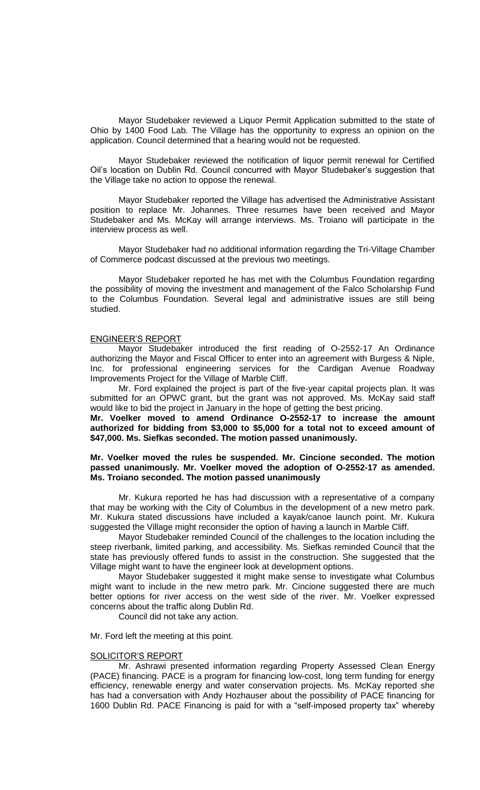Mayor Studebaker reviewed a Liquor Permit Application submitted to the state of Ohio by 1400 Food Lab. The Village has the opportunity to express an opinion on the application. Council determined that a hearing would not be requested.

Mayor Studebaker reviewed the notification of liquor permit renewal for Certified Oil's location on Dublin Rd. Council concurred with Mayor Studebaker's suggestion that the Village take no action to oppose the renewal.

Mayor Studebaker reported the Village has advertised the Administrative Assistant position to replace Mr. Johannes. Three resumes have been received and Mayor Studebaker and Ms. McKay will arrange interviews. Ms. Troiano will participate in the interview process as well.

Mayor Studebaker had no additional information regarding the Tri-Village Chamber of Commerce podcast discussed at the previous two meetings.

Mayor Studebaker reported he has met with the Columbus Foundation regarding the possibility of moving the investment and management of the Falco Scholarship Fund to the Columbus Foundation. Several legal and administrative issues are still being studied.

#### ENGINEER'S REPORT

Mayor Studebaker introduced the first reading of O-2552-17 An Ordinance authorizing the Mayor and Fiscal Officer to enter into an agreement with Burgess & Niple, Inc. for professional engineering services for the Cardigan Avenue Roadway Improvements Project for the Village of Marble Cliff.

Mr. Ford explained the project is part of the five-year capital projects plan. It was submitted for an OPWC grant, but the grant was not approved. Ms. McKay said staff would like to bid the project in January in the hope of getting the best pricing.

**Mr. Voelker moved to amend Ordinance O-2552-17 to increase the amount authorized for bidding from \$3,000 to \$5,000 for a total not to exceed amount of \$47,000. Ms. Siefkas seconded. The motion passed unanimously.**

## **Mr. Voelker moved the rules be suspended. Mr. Cincione seconded. The motion passed unanimously. Mr. Voelker moved the adoption of O-2552-17 as amended. Ms. Troiano seconded. The motion passed unanimously**

Mr. Kukura reported he has had discussion with a representative of a company that may be working with the City of Columbus in the development of a new metro park. Mr. Kukura stated discussions have included a kayak/canoe launch point. Mr. Kukura suggested the Village might reconsider the option of having a launch in Marble Cliff.

Mayor Studebaker reminded Council of the challenges to the location including the steep riverbank, limited parking, and accessibility. Ms. Siefkas reminded Council that the state has previously offered funds to assist in the construction. She suggested that the Village might want to have the engineer look at development options.

Mayor Studebaker suggested it might make sense to investigate what Columbus might want to include in the new metro park. Mr. Cincione suggested there are much better options for river access on the west side of the river. Mr. Voelker expressed concerns about the traffic along Dublin Rd.

Council did not take any action.

Mr. Ford left the meeting at this point.

## SOLICITOR'S REPORT

Mr. Ashrawi presented information regarding Property Assessed Clean Energy (PACE) financing. PACE is a program for financing low-cost, long term funding for energy efficiency, renewable energy and water conservation projects. Ms. McKay reported she has had a conversation with Andy Hozhauser about the possibility of PACE financing for 1600 Dublin Rd. PACE Financing is paid for with a "self-imposed property tax" whereby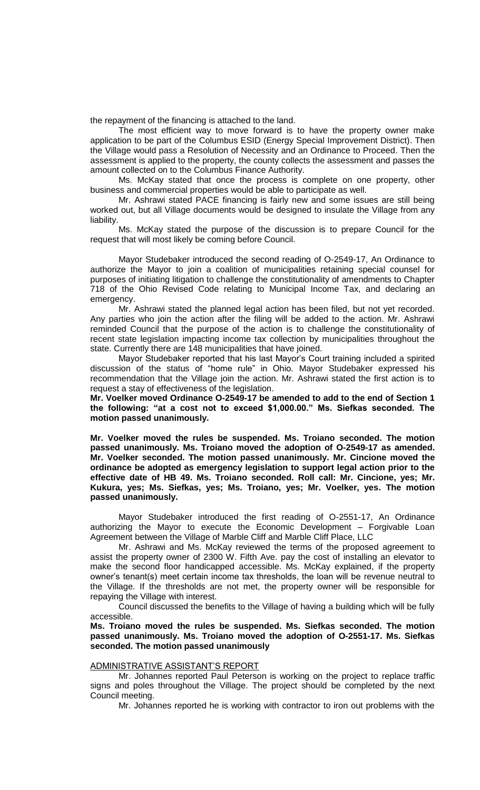the repayment of the financing is attached to the land.

The most efficient way to move forward is to have the property owner make application to be part of the Columbus ESID (Energy Special Improvement District). Then the Village would pass a Resolution of Necessity and an Ordinance to Proceed. Then the assessment is applied to the property, the county collects the assessment and passes the amount collected on to the Columbus Finance Authority.

Ms. McKay stated that once the process is complete on one property, other business and commercial properties would be able to participate as well.

Mr. Ashrawi stated PACE financing is fairly new and some issues are still being worked out, but all Village documents would be designed to insulate the Village from any liability.

Ms. McKay stated the purpose of the discussion is to prepare Council for the request that will most likely be coming before Council.

Mayor Studebaker introduced the second reading of O-2549-17, An Ordinance to authorize the Mayor to join a coalition of municipalities retaining special counsel for purposes of initiating litigation to challenge the constitutionality of amendments to Chapter 718 of the Ohio Revised Code relating to Municipal Income Tax, and declaring an emergency.

Mr. Ashrawi stated the planned legal action has been filed, but not yet recorded. Any parties who join the action after the filing will be added to the action. Mr. Ashrawi reminded Council that the purpose of the action is to challenge the constitutionality of recent state legislation impacting income tax collection by municipalities throughout the state. Currently there are 148 municipalities that have joined.

Mayor Studebaker reported that his last Mayor's Court training included a spirited discussion of the status of "home rule" in Ohio. Mayor Studebaker expressed his recommendation that the Village join the action. Mr. Ashrawi stated the first action is to request a stay of effectiveness of the legislation.

**Mr. Voelker moved Ordinance O-2549-17 be amended to add to the end of Section 1 the following: "at a cost not to exceed \$1,000.00." Ms. Siefkas seconded. The motion passed unanimously.**

**Mr. Voelker moved the rules be suspended. Ms. Troiano seconded. The motion passed unanimously. Ms. Troiano moved the adoption of O-2549-17 as amended. Mr. Voelker seconded. The motion passed unanimously. Mr. Cincione moved the ordinance be adopted as emergency legislation to support legal action prior to the effective date of HB 49. Ms. Troiano seconded. Roll call: Mr. Cincione, yes; Mr. Kukura, yes; Ms. Siefkas, yes; Ms. Troiano, yes; Mr. Voelker, yes. The motion passed unanimously.**

Mayor Studebaker introduced the first reading of O-2551-17, An Ordinance authorizing the Mayor to execute the Economic Development – Forgivable Loan Agreement between the Village of Marble Cliff and Marble Cliff Place, LLC

Mr. Ashrawi and Ms. McKay reviewed the terms of the proposed agreement to assist the property owner of 2300 W. Fifth Ave. pay the cost of installing an elevator to make the second floor handicapped accessible. Ms. McKay explained, if the property owner's tenant(s) meet certain income tax thresholds, the loan will be revenue neutral to the Village. If the thresholds are not met, the property owner will be responsible for repaying the Village with interest.

Council discussed the benefits to the Village of having a building which will be fully accessible.

**Ms. Troiano moved the rules be suspended. Ms. Siefkas seconded. The motion passed unanimously. Ms. Troiano moved the adoption of O-2551-17. Ms. Siefkas seconded. The motion passed unanimously**

#### ADMINISTRATIVE ASSISTANT'S REPORT

Mr. Johannes reported Paul Peterson is working on the project to replace traffic signs and poles throughout the Village. The project should be completed by the next Council meeting.

Mr. Johannes reported he is working with contractor to iron out problems with the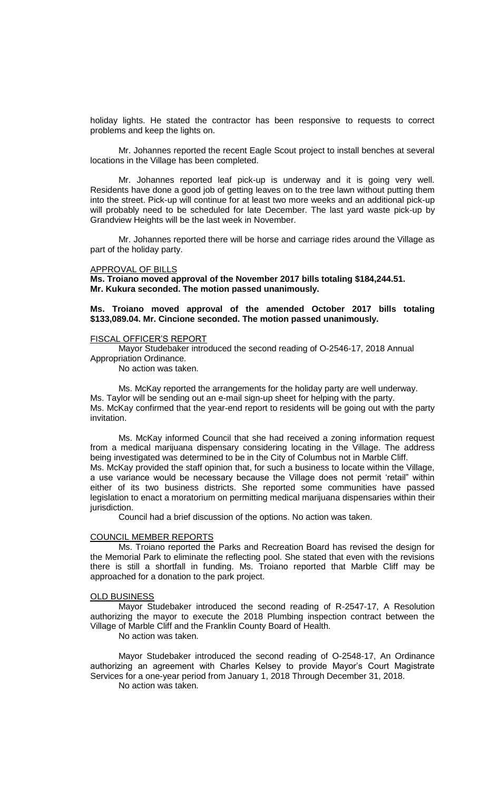holiday lights. He stated the contractor has been responsive to requests to correct problems and keep the lights on.

Mr. Johannes reported the recent Eagle Scout project to install benches at several locations in the Village has been completed.

Mr. Johannes reported leaf pick-up is underway and it is going very well. Residents have done a good job of getting leaves on to the tree lawn without putting them into the street. Pick-up will continue for at least two more weeks and an additional pick-up will probably need to be scheduled for late December. The last yard waste pick-up by Grandview Heights will be the last week in November.

Mr. Johannes reported there will be horse and carriage rides around the Village as part of the holiday party.

#### APPROVAL OF BILLS

**Ms. Troiano moved approval of the November 2017 bills totaling \$184,244.51. Mr. Kukura seconded. The motion passed unanimously.**

# **Ms. Troiano moved approval of the amended October 2017 bills totaling \$133,089.04. Mr. Cincione seconded. The motion passed unanimously.**

#### FISCAL OFFICER'S REPORT

Mayor Studebaker introduced the second reading of O-2546-17, 2018 Annual Appropriation Ordinance.

No action was taken.

Ms. McKay reported the arrangements for the holiday party are well underway. Ms. Taylor will be sending out an e-mail sign-up sheet for helping with the party. Ms. McKay confirmed that the year-end report to residents will be going out with the party invitation.

Ms. McKay informed Council that she had received a zoning information request from a medical marijuana dispensary considering locating in the Village. The address being investigated was determined to be in the City of Columbus not in Marble Cliff. Ms. McKay provided the staff opinion that, for such a business to locate within the Village, a use variance would be necessary because the Village does not permit 'retail" within either of its two business districts. She reported some communities have passed legislation to enact a moratorium on permitting medical marijuana dispensaries within their jurisdiction.

Council had a brief discussion of the options. No action was taken.

#### COUNCIL MEMBER REPORTS

Ms. Troiano reported the Parks and Recreation Board has revised the design for the Memorial Park to eliminate the reflecting pool. She stated that even with the revisions there is still a shortfall in funding. Ms. Troiano reported that Marble Cliff may be approached for a donation to the park project.

#### OLD BUSINESS

Mayor Studebaker introduced the second reading of R-2547-17, A Resolution authorizing the mayor to execute the 2018 Plumbing inspection contract between the Village of Marble Cliff and the Franklin County Board of Health.

No action was taken.

Mayor Studebaker introduced the second reading of O-2548-17, An Ordinance authorizing an agreement with Charles Kelsey to provide Mayor's Court Magistrate Services for a one-year period from January 1, 2018 Through December 31, 2018.

No action was taken.